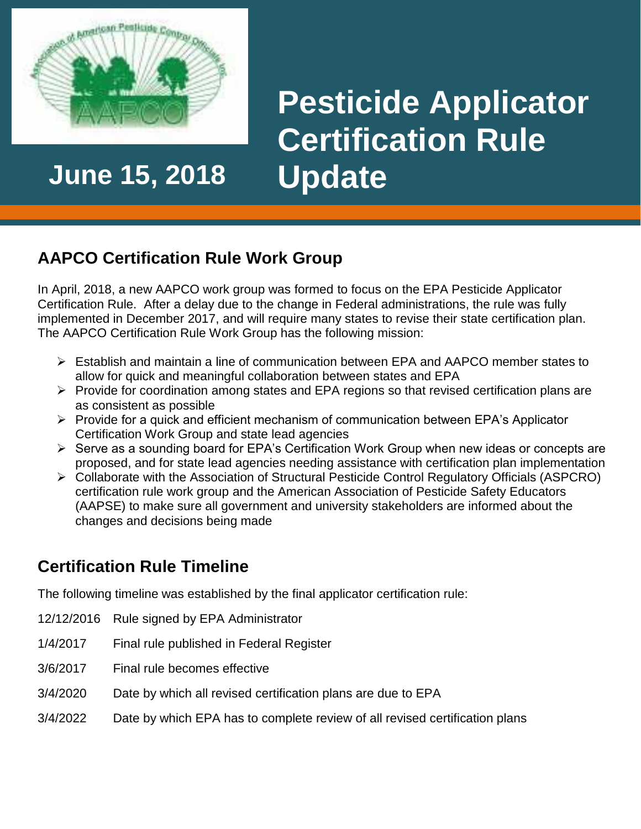

**June 15, 2018 Update**

# **Pesticide Applicator Certification Rule**

## **AAPCO Certification Rule Work Group**

In April, 2018, a new AAPCO work group was formed to focus on the EPA Pesticide Applicator Certification Rule. After a delay due to the change in Federal administrations, the rule was fully implemented in December 2017, and will require many states to revise their state certification plan. The AAPCO Certification Rule Work Group has the following mission:

- Establish and maintain a line of communication between EPA and AAPCO member states to allow for quick and meaningful collaboration between states and EPA
- $\triangleright$  Provide for coordination among states and EPA regions so that revised certification plans are as consistent as possible
- $\triangleright$  Provide for a quick and efficient mechanism of communication between EPA's Applicator Certification Work Group and state lead agencies
- $\triangleright$  Serve as a sounding board for EPA's Certification Work Group when new ideas or concepts are proposed, and for state lead agencies needing assistance with certification plan implementation
- Collaborate with the Association of Structural Pesticide Control Regulatory Officials (ASPCRO) certification rule work group and the American Association of Pesticide Safety Educators (AAPSE) to make sure all government and university stakeholders are informed about the changes and decisions being made

#### **Certification Rule Timeline**

The following timeline was established by the final applicator certification rule:

- 12/12/2016 Rule signed by EPA Administrator
- 1/4/2017 Final rule published in Federal Register
- 3/6/2017 Final rule becomes effective
- 3/4/2020 Date by which all revised certification plans are due to EPA
- 3/4/2022 Date by which EPA has to complete review of all revised certification plans